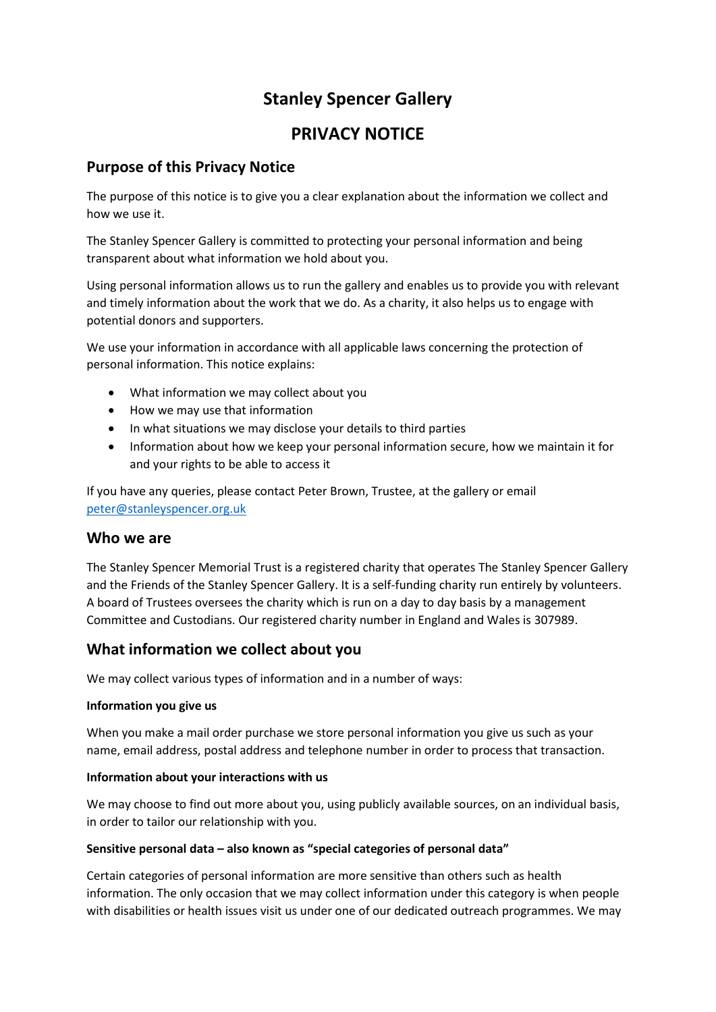# **Stanley Spencer Gallery**

# **PRIVACY NOTICE**

## **Purpose of this Privacy Notice**

The purpose of this notice is to give you a clear explanation about the information we collect and how we use it.

The Stanley Spencer Gallery is committed to protecting your personal information and being transparent about what information we hold about you.

Using personal information allows us to run the gallery and enables us to provide you with relevant and timely information about the work that we do. As a charity, it also helps us to engage with potential donors and supporters.

We use your information in accordance with all applicable laws concerning the protection of personal information. This notice explains:

- What information we may collect about you
- How we may use that information
- In what situations we may disclose your details to third parties
- Information about how we keep your personal information secure, how we maintain it for and your rights to be able to access it

If you have any queries, please contact Peter Brown, Trustee, at the gallery or email [peter@stanleyspencer.org.uk](mailto:peter@stanleyspencer.org.uk)

## **Who we are**

The Stanley Spencer Memorial Trust is a registered charity that operates The Stanley Spencer Gallery and the Friends of the Stanley Spencer Gallery. It is a self-funding charity run entirely by volunteers. A board of Trustees oversees the charity which is run on a day to day basis by a management Committee and Custodians. Our registered charity number in England and Wales is 307989.

# **What information we collect about you**

We may collect various types of information and in a number of ways:

#### **Information you give us**

When you make a mail order purchase we store personal information you give us such as your name, email address, postal address and telephone number in order to process that transaction.

### **Information about your interactions with us**

We may choose to find out more about you, using publicly available sources, on an individual basis, in order to tailor our relationship with you.

#### **Sensitive personal data – also known as "special categories of personal data"**

Certain categories of personal information are more sensitive than others such as health information. The only occasion that we may collect information under this category is when people with disabilities or health issues visit us under one of our dedicated outreach programmes. We may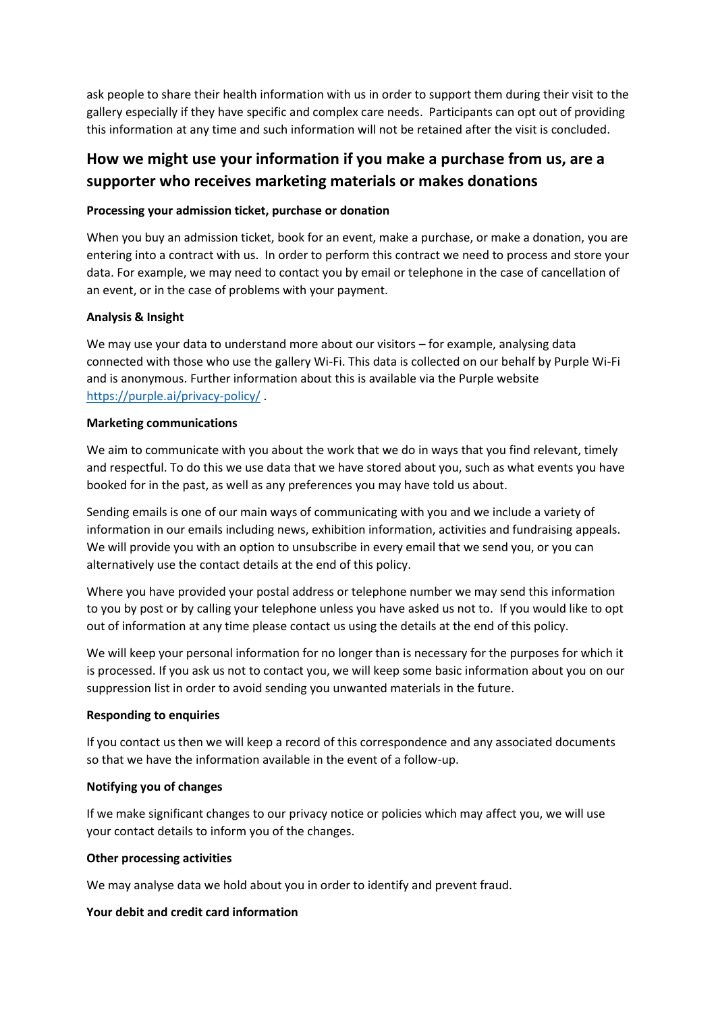ask people to share their health information with us in order to support them during their visit to the gallery especially if they have specific and complex care needs. Participants can opt out of providing this information at any time and such information will not be retained after the visit is concluded.

# **How we might use your information if you make a purchase from us, are a supporter who receives marketing materials or makes donations**

#### **Processing your admission ticket, purchase or donation**

When you buy an admission ticket, book for an event, make a purchase, or make a donation, you are entering into a contract with us. In order to perform this contract we need to process and store your data. For example, we may need to contact you by email or telephone in the case of cancellation of an event, or in the case of problems with your payment.

#### **Analysis & Insight**

We may use your data to understand more about our visitors – for example, analysing data connected with those who use the gallery Wi-Fi. This data is collected on our behalf by Purple Wi-Fi and is anonymous. Further information about this is available via the Purple website <https://purple.ai/privacy-policy/> .

#### **Marketing communications**

We aim to communicate with you about the work that we do in ways that you find relevant, timely and respectful. To do this we use data that we have stored about you, such as what events you have booked for in the past, as well as any preferences you may have told us about.

Sending emails is one of our main ways of communicating with you and we include a variety of information in our emails including news, exhibition information, activities and fundraising appeals. We will provide you with an option to unsubscribe in every email that we send you, or you can alternatively use the contact details at the end of this policy.

Where you have provided your postal address or telephone number we may send this information to you by post or by calling your telephone unless you have asked us not to. If you would like to opt out of information at any time please contact us using the details at the end of this policy.

We will keep your personal information for no longer than is necessary for the purposes for which it is processed. If you ask us not to contact you, we will keep some basic information about you on our suppression list in order to avoid sending you unwanted materials in the future.

#### **Responding to enquiries**

If you contact us then we will keep a record of this correspondence and any associated documents so that we have the information available in the event of a follow-up.

#### **Notifying you of changes**

If we make significant changes to our privacy notice or policies which may affect you, we will use your contact details to inform you of the changes.

#### **Other processing activities**

We may analyse data we hold about you in order to identify and prevent fraud.

#### **Your debit and credit card information**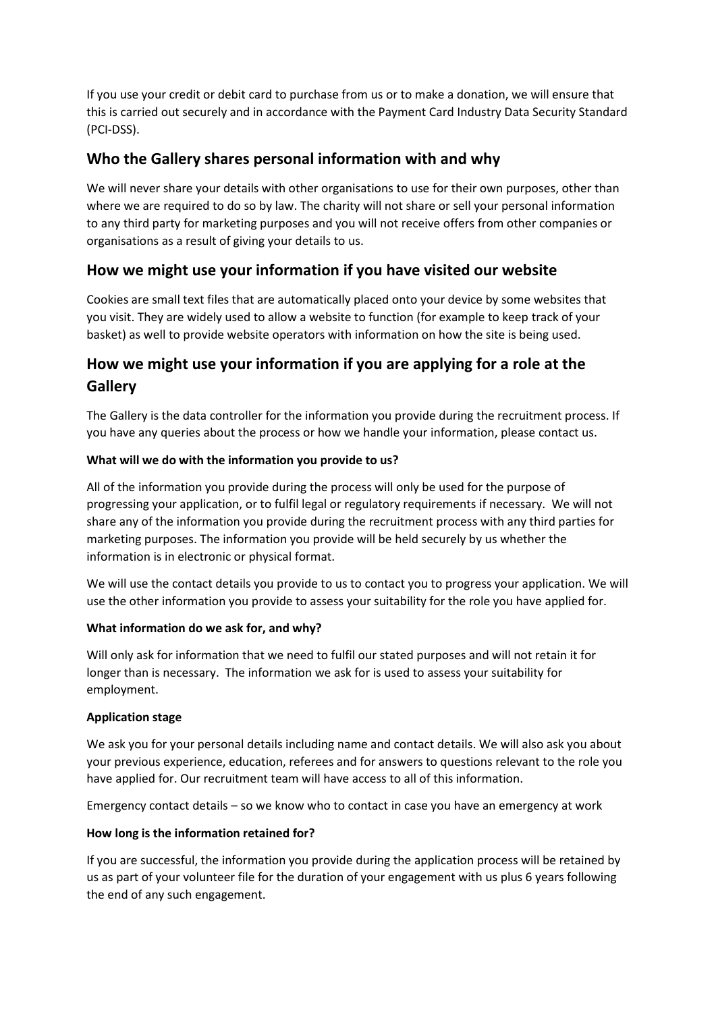If you use your credit or debit card to purchase from us or to make a donation, we will ensure that this is carried out securely and in accordance with the Payment Card Industry Data Security Standard (PCI-DSS).

# **Who the Gallery shares personal information with and why**

We will never share your details with other organisations to use for their own purposes, other than where we are required to do so by law. The charity will not share or sell your personal information to any third party for marketing purposes and you will not receive offers from other companies or organisations as a result of giving your details to us.

# **How we might use your information if you have visited our website**

Cookies are small text files that are automatically placed onto your device by some websites that you visit. They are widely used to allow a website to function (for example to keep track of your basket) as well to provide website operators with information on how the site is being used.

# **How we might use your information if you are applying for a role at the Gallery**

The Gallery is the data controller for the information you provide during the recruitment process. If you have any queries about the process or how we handle your information, please contact us.

### **What will we do with the information you provide to us?**

All of the information you provide during the process will only be used for the purpose of progressing your application, or to fulfil legal or regulatory requirements if necessary. We will not share any of the information you provide during the recruitment process with any third parties for marketing purposes. The information you provide will be held securely by us whether the information is in electronic or physical format.

We will use the contact details you provide to us to contact you to progress your application. We will use the other information you provide to assess your suitability for the role you have applied for.

### **What information do we ask for, and why?**

Will only ask for information that we need to fulfil our stated purposes and will not retain it for longer than is necessary. The information we ask for is used to assess your suitability for employment.

### **Application stage**

We ask you for your personal details including name and contact details. We will also ask you about your previous experience, education, referees and for answers to questions relevant to the role you have applied for. Our recruitment team will have access to all of this information.

Emergency contact details – so we know who to contact in case you have an emergency at work

### **How long is the information retained for?**

If you are successful, the information you provide during the application process will be retained by us as part of your volunteer file for the duration of your engagement with us plus 6 years following the end of any such engagement.